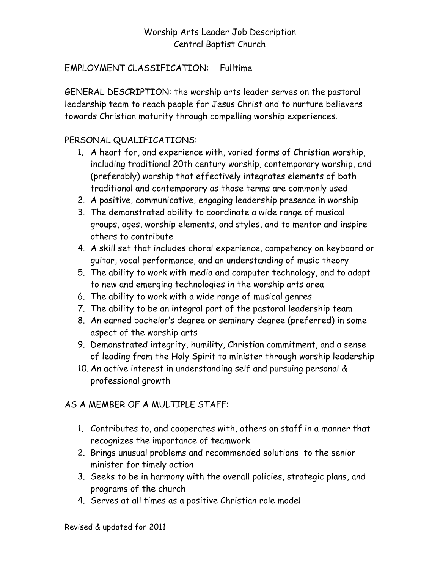# Worship Arts Leader Job Description Central Baptist Church

#### EMPLOYMENT CLASSIFICATION: Fulltime

GENERAL DESCRIPTION: the worship arts leader serves on the pastoral leadership team to reach people for Jesus Christ and to nurture believers towards Christian maturity through compelling worship experiences.

#### PERSONAL QUALIFICATIONS:

- 1. A heart for, and experience with, varied forms of Christian worship, including traditional 20th century worship, contemporary worship, and (preferably) worship that effectively integrates elements of both traditional and contemporary as those terms are commonly used
- 2. A positive, communicative, engaging leadership presence in worship
- 3. The demonstrated ability to coordinate a wide range of musical groups, ages, worship elements, and styles, and to mentor and inspire others to contribute
- 4. A skill set that includes choral experience, competency on keyboard or guitar, vocal performance, and an understanding of music theory
- 5. The ability to work with media and computer technology, and to adapt to new and emerging technologies in the worship arts area
- 6. The ability to work with a wide range of musical genres
- 7. The ability to be an integral part of the pastoral leadership team
- 8. An earned bachelor's degree or seminary degree (preferred) in some aspect of the worship arts
- 9. Demonstrated integrity, humility, Christian commitment, and a sense of leading from the Holy Spirit to minister through worship leadership
- 10. An active interest in understanding self and pursuing personal & professional growth

# AS A MEMBER OF A MULTIPLE STAFF:

- 1. Contributes to, and cooperates with, others on staff in a manner that recognizes the importance of teamwork
- 2. Brings unusual problems and recommended solutions to the senior minister for timely action
- 3. Seeks to be in harmony with the overall policies, strategic plans, and programs of the church
- 4. Serves at all times as a positive Christian role model